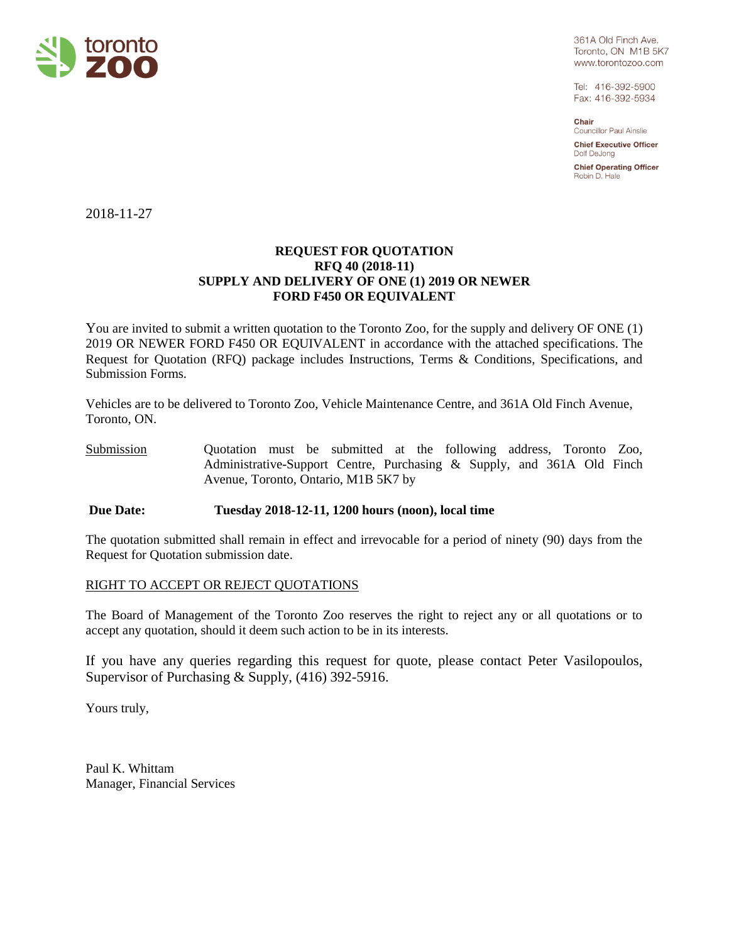

361A Old Finch Ave. Toronto, ON M1B 5K7 www.torontozoo.com

Tel: 416-392-5900 Fax: 416-392-5934

Chair Councillor Paul Ainslie

**Chief Executive Officer** Dolf DeJong

**Chief Operating Officer** Robin D. Hale

2018-11-27

### **REQUEST FOR QUOTATION RFQ 40 (2018-11) SUPPLY AND DELIVERY OF ONE (1) 2019 OR NEWER FORD F450 OR EQUIVALENT**

You are invited to submit a written quotation to the Toronto Zoo, for the supply and delivery OF ONE (1) 2019 OR NEWER FORD F450 OR EQUIVALENT in accordance with the attached specifications. The Request for Quotation (RFQ) package includes Instructions, Terms & Conditions, Specifications, and Submission Forms.

Vehicles are to be delivered to Toronto Zoo, Vehicle Maintenance Centre, and 361A Old Finch Avenue, Toronto, ON.

Submission Quotation must be submitted at the following address, Toronto Zoo, Administrative-Support Centre, Purchasing & Supply, and 361A Old Finch Avenue, Toronto, Ontario, M1B 5K7 by

# **Due Date: Tuesday 2018-12-11, 1200 hours (noon), local time**

The quotation submitted shall remain in effect and irrevocable for a period of ninety (90) days from the Request for Quotation submission date.

#### RIGHT TO ACCEPT OR REJECT QUOTATIONS

The Board of Management of the Toronto Zoo reserves the right to reject any or all quotations or to accept any quotation, should it deem such action to be in its interests.

If you have any queries regarding this request for quote, please contact Peter Vasilopoulos, Supervisor of Purchasing & Supply, (416) 392-5916.

Yours truly,

Paul K. Whittam Manager, Financial Services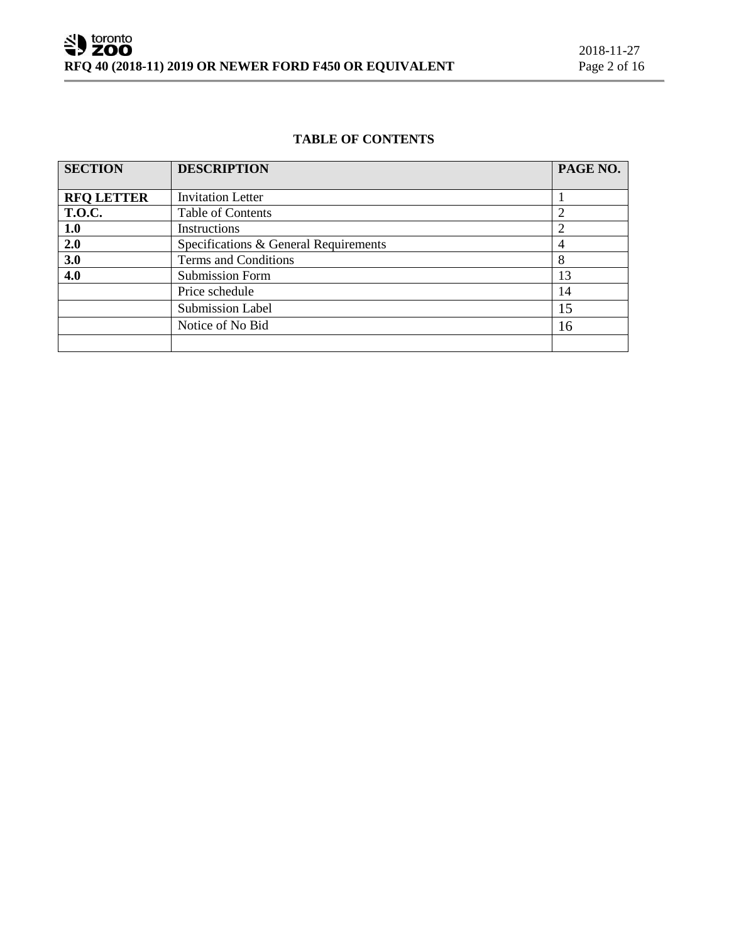# **TABLE OF CONTENTS**

| <b>SECTION</b>    | <b>DESCRIPTION</b>                    | PAGE NO.       |  |  |
|-------------------|---------------------------------------|----------------|--|--|
|                   |                                       |                |  |  |
| <b>RFQ LETTER</b> | <b>Invitation Letter</b>              |                |  |  |
| <b>T.O.C.</b>     | <b>Table of Contents</b>              | $\overline{2}$ |  |  |
| 1.0               | Instructions                          | $\overline{2}$ |  |  |
| 2.0               | Specifications & General Requirements |                |  |  |
| 3.0               | Terms and Conditions                  |                |  |  |
| 4.0               | Submission Form                       | 13             |  |  |
|                   | Price schedule                        | 14             |  |  |
|                   | <b>Submission Label</b>               | 15             |  |  |
|                   | Notice of No Bid                      | 16             |  |  |
|                   |                                       |                |  |  |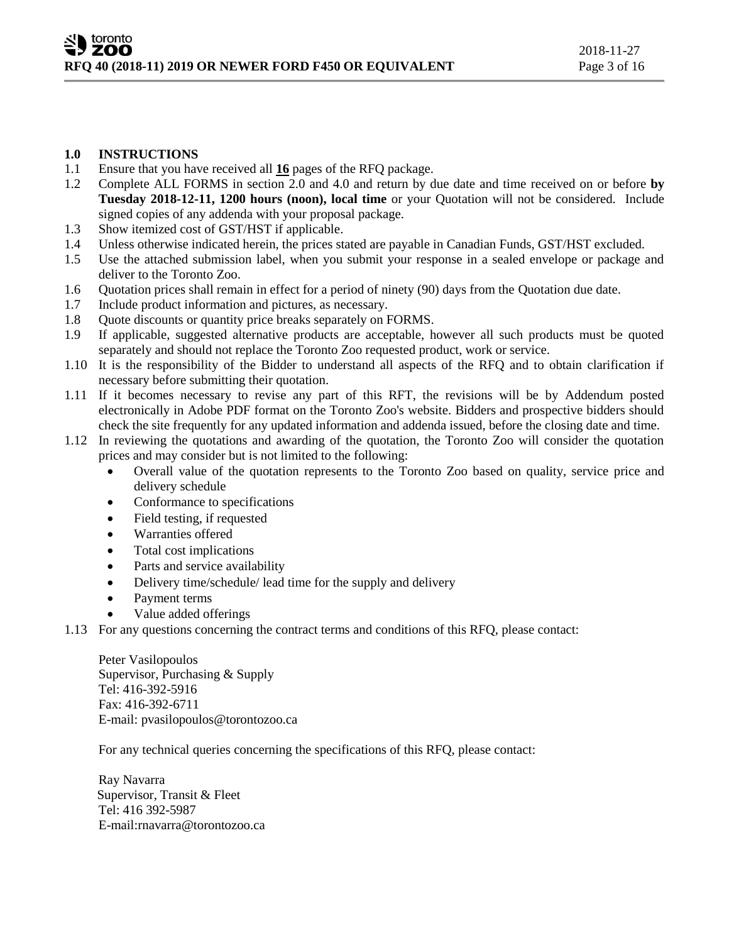### **1.0 INSTRUCTIONS**

- 1.1 Ensure that you have received all **16** pages of the RFQ package.
- 1.2 Complete ALL FORMS in section 2.0 and 4.0 and return by due date and time received on or before **by Tuesday 2018-12-11, 1200 hours (noon), local time** or your Quotation will not be considered. Include signed copies of any addenda with your proposal package.
- 1.3 Show itemized cost of GST/HST if applicable.
- 1.4 Unless otherwise indicated herein, the prices stated are payable in Canadian Funds, GST/HST excluded.
- 1.5 Use the attached submission label, when you submit your response in a sealed envelope or package and deliver to the Toronto Zoo.
- 1.6 Quotation prices shall remain in effect for a period of ninety (90) days from the Quotation due date.
- 1.7 Include product information and pictures, as necessary.
- 1.8 Quote discounts or quantity price breaks separately on FORMS.
- 1.9 If applicable, suggested alternative products are acceptable, however all such products must be quoted separately and should not replace the Toronto Zoo requested product, work or service.
- 1.10 It is the responsibility of the Bidder to understand all aspects of the RFQ and to obtain clarification if necessary before submitting their quotation.
- 1.11 If it becomes necessary to revise any part of this RFT, the revisions will be by Addendum posted electronically in Adobe PDF format on the Toronto Zoo's website. Bidders and prospective bidders should check the site frequently for any updated information and addenda issued, before the closing date and time.
- 1.12 In reviewing the quotations and awarding of the quotation, the Toronto Zoo will consider the quotation prices and may consider but is not limited to the following:
	- Overall value of the quotation represents to the Toronto Zoo based on quality, service price and delivery schedule
	- Conformance to specifications
	- Field testing, if requested
	- Warranties offered
	- Total cost implications
	- Parts and service availability
	- Delivery time/schedule/ lead time for the supply and delivery
	- Payment terms
	- Value added offerings
- 1.13 For any questions concerning the contract terms and conditions of this RFQ, please contact:

Peter Vasilopoulos Supervisor, Purchasing & Supply Tel: 416-392-5916 Fax: 416-392-6711 E-mail: pvasilopoulos@torontozoo.ca

For any technical queries concerning the specifications of this RFQ, please contact:

Ray Navarra Supervisor, Transit & Fleet Tel: 416 392-5987 E-mail:rnavarra@torontozoo.ca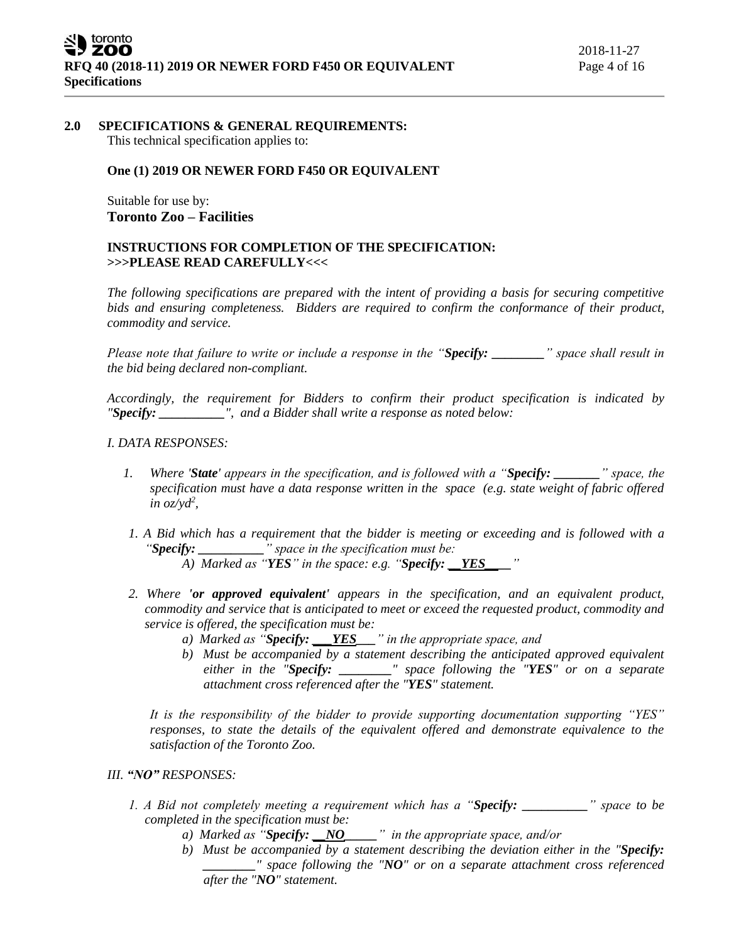# **2.0 SPECIFICATIONS & GENERAL REQUIREMENTS:**

This technical specification applies to:

# **One (1) 2019 OR NEWER FORD F450 OR EQUIVALENT**

Suitable for use by: **Toronto Zoo – Facilities**

# **INSTRUCTIONS FOR COMPLETION OF THE SPECIFICATION: >>>PLEASE READ CAREFULLY<<<**

*The following specifications are prepared with the intent of providing a basis for securing competitive bids and ensuring completeness. Bidders are required to confirm the conformance of their product, commodity and service.*

*Please note that failure to write or include a response in the "Specify: \_\_\_\_\_\_\_\_" space shall result in the bid being declared non-compliant.*

*Accordingly, the requirement for Bidders to confirm their product specification is indicated by "Specify: \_\_\_\_\_\_\_\_\_\_", and a Bidder shall write a response as noted below:* 

### *I. DATA RESPONSES:*

- *1. Where 'State' appears in the specification, and is followed with a "Specify: \_\_\_\_\_\_\_" space, the specification must have a data response written in the space (e.g. state weight of fabric offered in oz/yd<sup>2</sup> ,*
- *1. A Bid which has a requirement that the bidder is meeting or exceeding and is followed with a "Specify: \_\_\_\_\_\_\_\_\_\_" space in the specification must be:*

 $\overline{A}$ ) Marked as "*YES*" in the space: e.g. "*Specify: YES* 

- *2. Where 'or approved equivalent' appears in the specification, and an equivalent product, commodity and service that is anticipated to meet or exceed the requested product, commodity and service is offered, the specification must be:*
	- *a) Marked as "Specify: \_\_\_YES\_\_\_" in the appropriate space, and*
	- *b) Must be accompanied by a statement describing the anticipated approved equivalent either in the "Specify: \_\_\_\_\_\_\_\_" space following the "YES" or on a separate attachment cross referenced after the "YES" statement.*

*It is the responsibility of the bidder to provide supporting documentation supporting "YES" responses, to state the details of the equivalent offered and demonstrate equivalence to the satisfaction of the Toronto Zoo.* 

# *III. "NO" RESPONSES:*

- *1. A Bid not completely meeting a requirement which has a "Specify: \_\_\_\_\_\_\_\_\_\_" space to be completed in the specification must be:*
	- *a) Marked as "Specify: \_\_NO\_\_\_\_\_" in the appropriate space, and/or*
	- *b) Must be accompanied by a statement describing the deviation either in the "Specify: \_\_\_\_\_\_\_\_" space following the "NO" or on a separate attachment cross referenced after the "NO" statement.*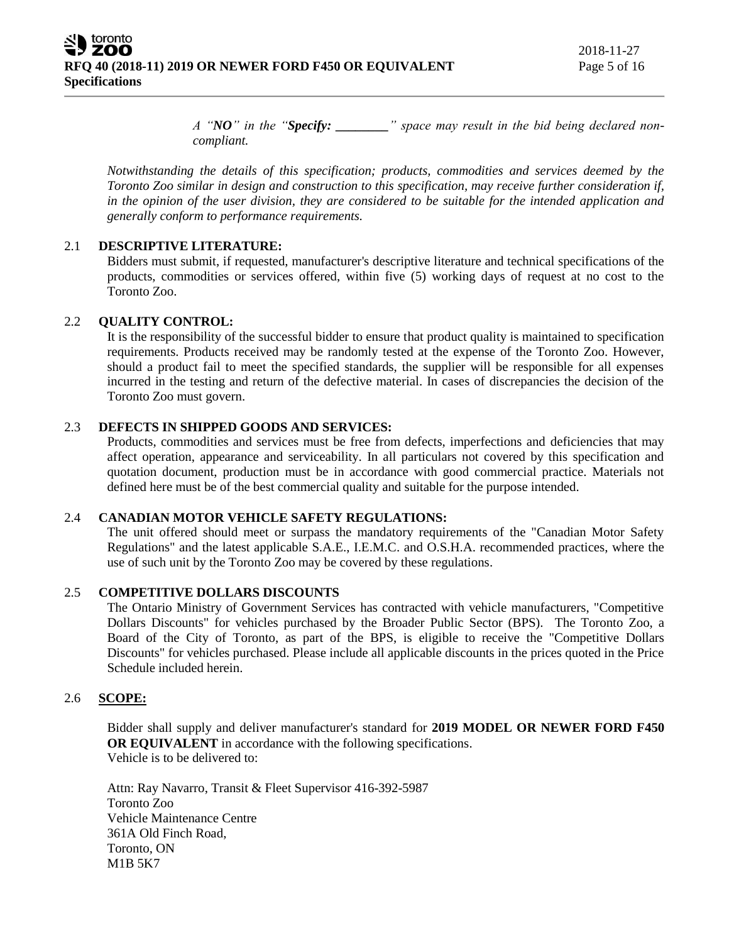toronto ZOO **RFQ 40 (2018-11) 2019 OR NEWER FORD F450 OR EQUIVALENT** Page 5 of 16 **Specifications**

*A "NO" in the "Specify: \_\_\_\_\_\_\_\_" space may result in the bid being declared noncompliant.* 

*Notwithstanding the details of this specification; products, commodities and services deemed by the Toronto Zoo similar in design and construction to this specification, may receive further consideration if, in the opinion of the user division, they are considered to be suitable for the intended application and generally conform to performance requirements.*

# 2.1 **DESCRIPTIVE LITERATURE:**

Bidders must submit, if requested, manufacturer's descriptive literature and technical specifications of the products, commodities or services offered, within five (5) working days of request at no cost to the Toronto Zoo.

# 2.2 **QUALITY CONTROL:**

It is the responsibility of the successful bidder to ensure that product quality is maintained to specification requirements. Products received may be randomly tested at the expense of the Toronto Zoo. However, should a product fail to meet the specified standards, the supplier will be responsible for all expenses incurred in the testing and return of the defective material. In cases of discrepancies the decision of the Toronto Zoo must govern.

### 2.3 **DEFECTS IN SHIPPED GOODS AND SERVICES:**

Products, commodities and services must be free from defects, imperfections and deficiencies that may affect operation, appearance and serviceability. In all particulars not covered by this specification and quotation document, production must be in accordance with good commercial practice. Materials not defined here must be of the best commercial quality and suitable for the purpose intended.

# 2.4 **CANADIAN MOTOR VEHICLE SAFETY REGULATIONS:**

The unit offered should meet or surpass the mandatory requirements of the "Canadian Motor Safety Regulations" and the latest applicable S.A.E., I.E.M.C. and O.S.H.A. recommended practices, where the use of such unit by the Toronto Zoo may be covered by these regulations.

#### 2.5 **COMPETITIVE DOLLARS DISCOUNTS**

The Ontario Ministry of Government Services has contracted with vehicle manufacturers, "Competitive Dollars Discounts" for vehicles purchased by the Broader Public Sector (BPS). The Toronto Zoo, a Board of the City of Toronto, as part of the BPS, is eligible to receive the "Competitive Dollars Discounts" for vehicles purchased. Please include all applicable discounts in the prices quoted in the Price Schedule included herein.

#### 2.6 **SCOPE:**

Bidder shall supply and deliver manufacturer's standard for **2019 MODEL OR NEWER FORD F450 OR EQUIVALENT** in accordance with the following specifications. Vehicle is to be delivered to:

Attn: Ray Navarro, Transit & Fleet Supervisor 416-392-5987 Toronto Zoo Vehicle Maintenance Centre 361A Old Finch Road, Toronto, ON M1B 5K7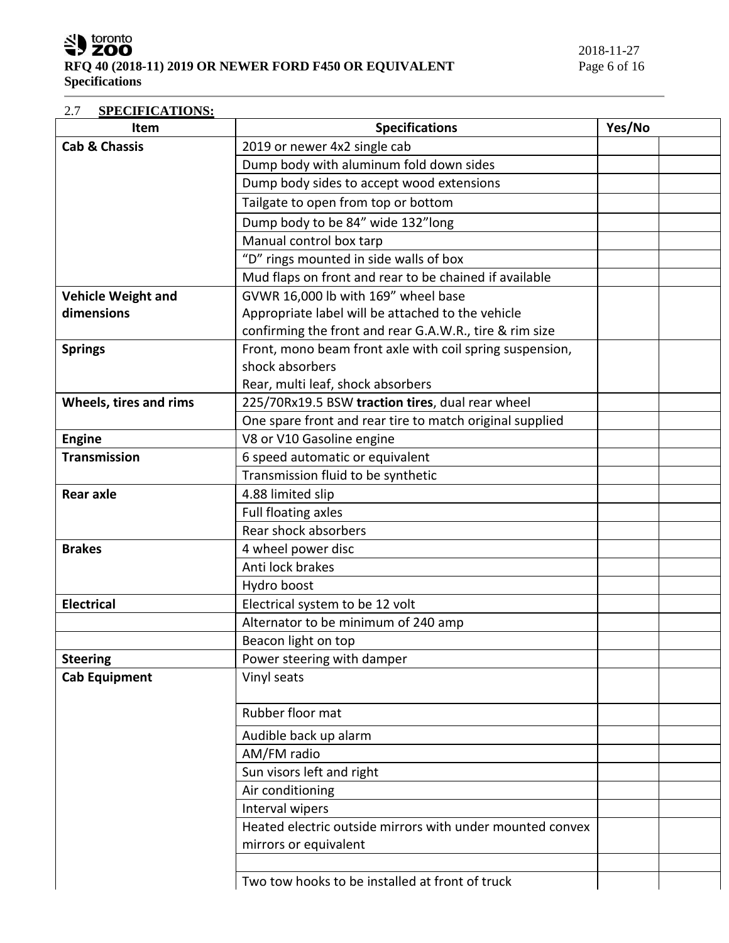SU toronto

# 2.7 **SPECIFICATIONS:**

| <b>Item</b>               | <b>Specifications</b><br>Yes/No                           |  |
|---------------------------|-----------------------------------------------------------|--|
| <b>Cab &amp; Chassis</b>  | 2019 or newer 4x2 single cab                              |  |
|                           | Dump body with aluminum fold down sides                   |  |
|                           | Dump body sides to accept wood extensions                 |  |
|                           | Tailgate to open from top or bottom                       |  |
|                           | Dump body to be 84" wide 132"long                         |  |
|                           | Manual control box tarp                                   |  |
|                           | "D" rings mounted in side walls of box                    |  |
|                           | Mud flaps on front and rear to be chained if available    |  |
| <b>Vehicle Weight and</b> | GVWR 16,000 lb with 169" wheel base                       |  |
| dimensions                | Appropriate label will be attached to the vehicle         |  |
|                           | confirming the front and rear G.A.W.R., tire & rim size   |  |
| <b>Springs</b>            | Front, mono beam front axle with coil spring suspension,  |  |
|                           | shock absorbers                                           |  |
|                           | Rear, multi leaf, shock absorbers                         |  |
| Wheels, tires and rims    | 225/70Rx19.5 BSW traction tires, dual rear wheel          |  |
|                           | One spare front and rear tire to match original supplied  |  |
| <b>Engine</b>             | V8 or V10 Gasoline engine                                 |  |
| <b>Transmission</b>       | 6 speed automatic or equivalent                           |  |
|                           | Transmission fluid to be synthetic                        |  |
| <b>Rear axle</b>          | 4.88 limited slip                                         |  |
|                           | Full floating axles                                       |  |
|                           | Rear shock absorbers                                      |  |
| <b>Brakes</b>             | 4 wheel power disc                                        |  |
|                           | Anti lock brakes                                          |  |
|                           | Hydro boost                                               |  |
| <b>Electrical</b>         | Electrical system to be 12 volt                           |  |
|                           | Alternator to be minimum of 240 amp                       |  |
|                           | Beacon light on top                                       |  |
| <b>Steering</b>           | Power steering with damper                                |  |
| <b>Cab Equipment</b>      | Vinyl seats                                               |  |
|                           | Rubber floor mat                                          |  |
|                           | Audible back up alarm                                     |  |
|                           | AM/FM radio                                               |  |
|                           | Sun visors left and right                                 |  |
|                           | Air conditioning                                          |  |
|                           | Interval wipers                                           |  |
|                           | Heated electric outside mirrors with under mounted convex |  |
|                           | mirrors or equivalent                                     |  |
|                           |                                                           |  |
|                           | Two tow hooks to be installed at front of truck           |  |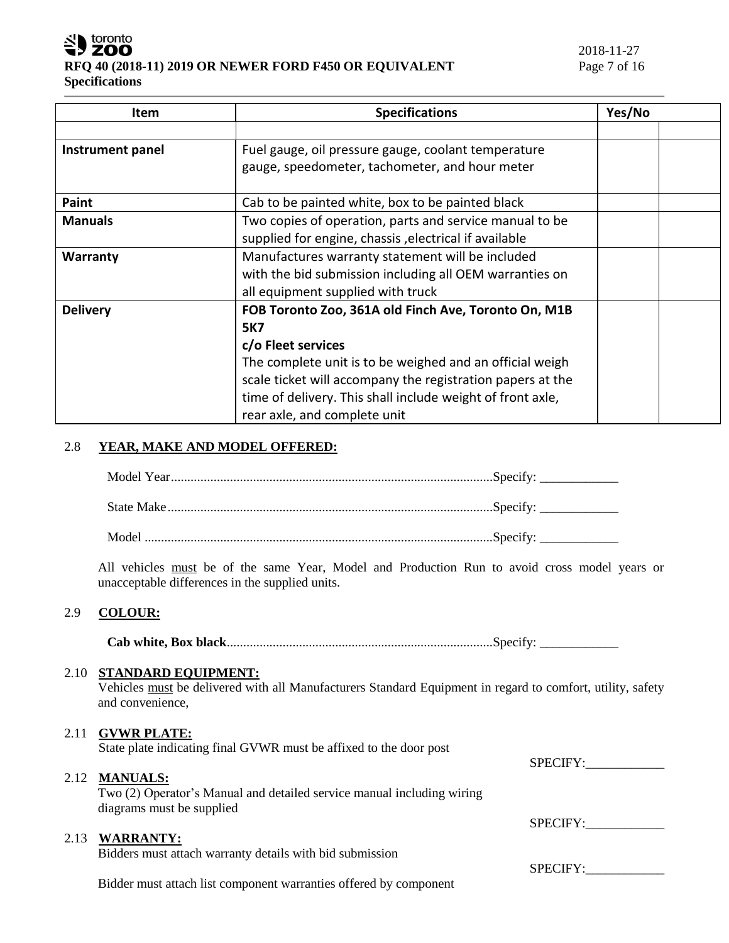

| Item             | <b>Specifications</b>                                      | Yes/No |
|------------------|------------------------------------------------------------|--------|
|                  |                                                            |        |
| Instrument panel | Fuel gauge, oil pressure gauge, coolant temperature        |        |
|                  | gauge, speedometer, tachometer, and hour meter             |        |
|                  |                                                            |        |
| Paint            | Cab to be painted white, box to be painted black           |        |
| <b>Manuals</b>   | Two copies of operation, parts and service manual to be    |        |
|                  | supplied for engine, chassis, electrical if available      |        |
| <b>Warranty</b>  | Manufactures warranty statement will be included           |        |
|                  | with the bid submission including all OEM warranties on    |        |
|                  | all equipment supplied with truck                          |        |
| <b>Delivery</b>  | FOB Toronto Zoo, 361A old Finch Ave, Toronto On, M1B       |        |
|                  | <b>5K7</b>                                                 |        |
|                  | c/o Fleet services                                         |        |
|                  | The complete unit is to be weighed and an official weigh   |        |
|                  | scale ticket will accompany the registration papers at the |        |
|                  | time of delivery. This shall include weight of front axle, |        |
|                  | rear axle, and complete unit                               |        |

# 2.8 **YEAR, MAKE AND MODEL OFFERED:**

| All vehicles must be of the same Year, Model and Production Run to avoid cross model years or<br>unacceptable differences in the supplied units. |  |
|--------------------------------------------------------------------------------------------------------------------------------------------------|--|

# 2.9 **COLOUR:**

**Cab white, Box black**.................................................................................Specify: \_\_\_\_\_\_\_\_\_\_\_\_

# 2.10 **STANDARD EQUIPMENT:**

Vehicles must be delivered with all Manufacturers Standard Equipment in regard to comfort, utility, safety and convenience,

# 2.11 **GVWR PLATE:**

State plate indicating final GVWR must be affixed to the door post

# 2.12 **MANUALS:**

Two (2) Operator's Manual and detailed service manual including wiring diagrams must be supplied

# 2.13 **WARRANTY:**

Bidders must attach warranty details with bid submission

Bidder must attach list component warranties offered by component

SPECIFY:\_\_\_\_\_\_\_\_\_\_\_\_

SPECIFY:

SPECIFY: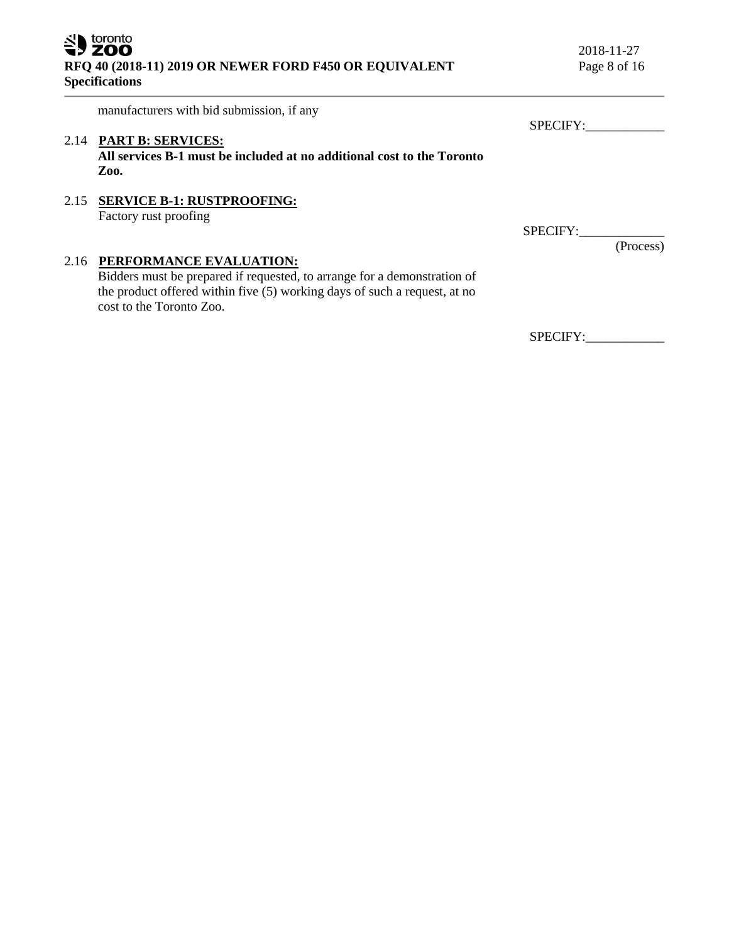2018-11-27

manufacturers with bid submission, if any

# 2.14 **PART B: SERVICES:**

**All services B-1 must be included at no additional cost to the Toronto Zoo.**

### 2.15 **SERVICE B-1: RUSTPROOFING:** Factory rust proofing

# 2.16 **PERFORMANCE EVALUATION:**

Bidders must be prepared if requested, to arrange for a demonstration of the product offered within five (5) working days of such a request, at no cost to the Toronto Zoo.

SPECIFY:

SPECIFY:\_\_\_\_\_\_\_\_\_\_\_\_\_

(Process)

SPECIFY:\_\_\_\_\_\_\_\_\_\_\_\_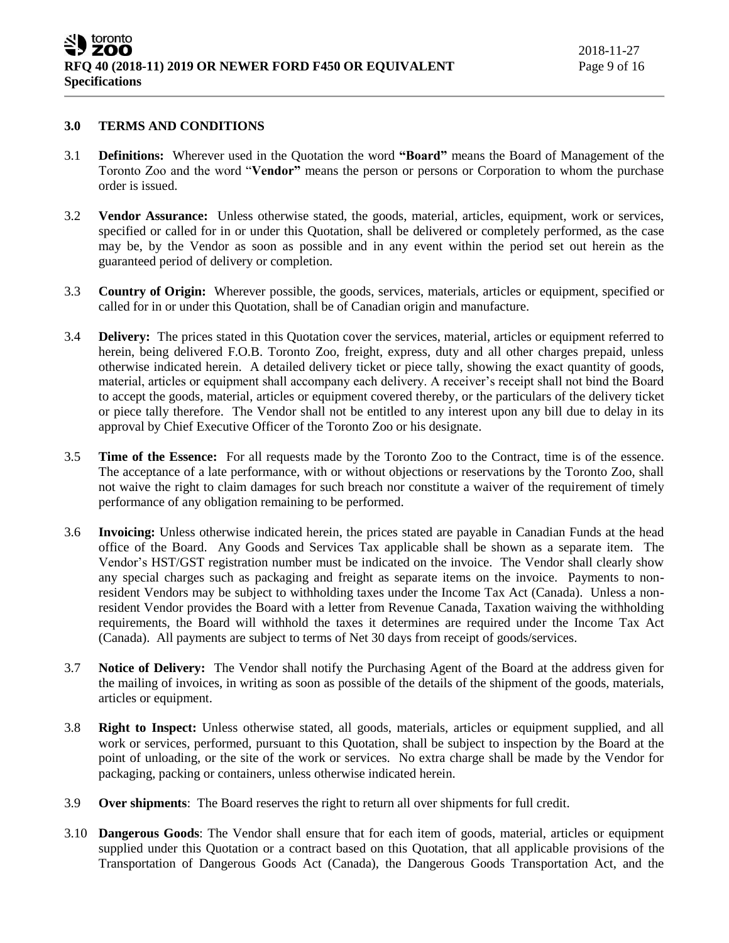#### **3.0 TERMS AND CONDITIONS**

- 3.1 **Definitions:** Wherever used in the Quotation the word **"Board"** means the Board of Management of the Toronto Zoo and the word "**Vendor"** means the person or persons or Corporation to whom the purchase order is issued.
- 3.2 **Vendor Assurance:** Unless otherwise stated, the goods, material, articles, equipment, work or services, specified or called for in or under this Quotation, shall be delivered or completely performed, as the case may be, by the Vendor as soon as possible and in any event within the period set out herein as the guaranteed period of delivery or completion.
- 3.3 **Country of Origin:** Wherever possible, the goods, services, materials, articles or equipment, specified or called for in or under this Quotation, shall be of Canadian origin and manufacture.
- 3.4 **Delivery:** The prices stated in this Quotation cover the services, material, articles or equipment referred to herein, being delivered F.O.B. Toronto Zoo, freight, express, duty and all other charges prepaid, unless otherwise indicated herein. A detailed delivery ticket or piece tally, showing the exact quantity of goods, material, articles or equipment shall accompany each delivery. A receiver's receipt shall not bind the Board to accept the goods, material, articles or equipment covered thereby, or the particulars of the delivery ticket or piece tally therefore. The Vendor shall not be entitled to any interest upon any bill due to delay in its approval by Chief Executive Officer of the Toronto Zoo or his designate.
- 3.5 **Time of the Essence:** For all requests made by the Toronto Zoo to the Contract, time is of the essence. The acceptance of a late performance, with or without objections or reservations by the Toronto Zoo, shall not waive the right to claim damages for such breach nor constitute a waiver of the requirement of timely performance of any obligation remaining to be performed.
- 3.6 **Invoicing:** Unless otherwise indicated herein, the prices stated are payable in Canadian Funds at the head office of the Board. Any Goods and Services Tax applicable shall be shown as a separate item. The Vendor's HST/GST registration number must be indicated on the invoice. The Vendor shall clearly show any special charges such as packaging and freight as separate items on the invoice. Payments to nonresident Vendors may be subject to withholding taxes under the Income Tax Act (Canada). Unless a nonresident Vendor provides the Board with a letter from Revenue Canada, Taxation waiving the withholding requirements, the Board will withhold the taxes it determines are required under the Income Tax Act (Canada). All payments are subject to terms of Net 30 days from receipt of goods/services.
- 3.7 **Notice of Delivery:** The Vendor shall notify the Purchasing Agent of the Board at the address given for the mailing of invoices, in writing as soon as possible of the details of the shipment of the goods, materials, articles or equipment.
- 3.8 **Right to Inspect:** Unless otherwise stated, all goods, materials, articles or equipment supplied, and all work or services, performed, pursuant to this Quotation, shall be subject to inspection by the Board at the point of unloading, or the site of the work or services. No extra charge shall be made by the Vendor for packaging, packing or containers, unless otherwise indicated herein.
- 3.9 **Over shipments**: The Board reserves the right to return all over shipments for full credit.
- 3.10 **Dangerous Goods**: The Vendor shall ensure that for each item of goods, material, articles or equipment supplied under this Quotation or a contract based on this Quotation, that all applicable provisions of the Transportation of Dangerous Goods Act (Canada), the Dangerous Goods Transportation Act, and the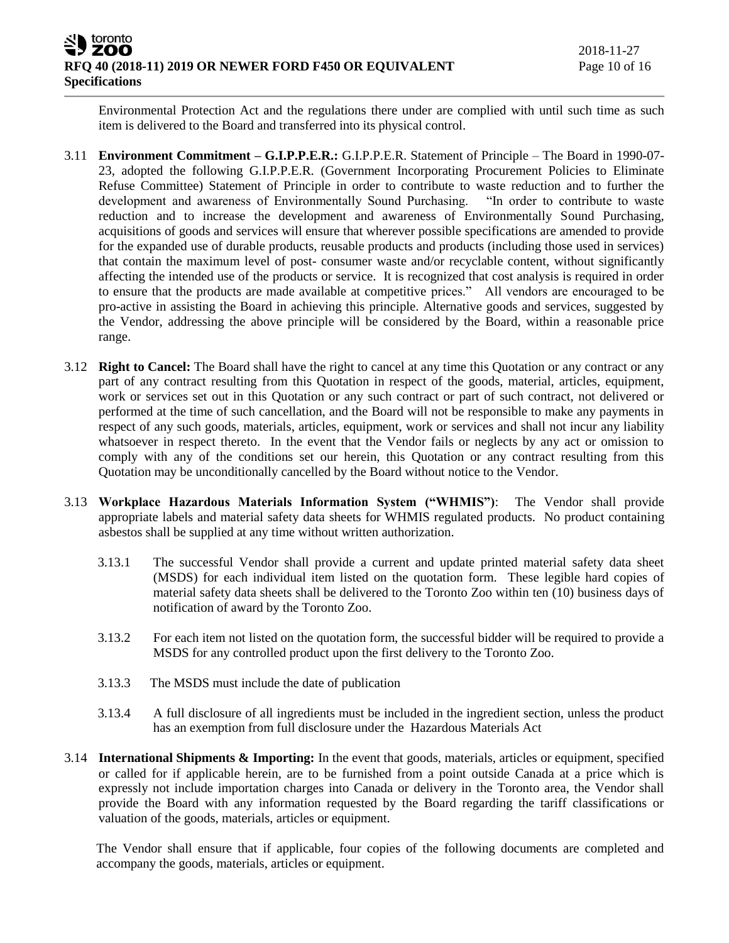Environmental Protection Act and the regulations there under are complied with until such time as such item is delivered to the Board and transferred into its physical control.

- 3.11 **Environment Commitment – G.I.P.P.E.R.:** G.I.P.P.E.R. Statement of Principle The Board in 1990-07- 23, adopted the following G.I.P.P.E.R. (Government Incorporating Procurement Policies to Eliminate Refuse Committee) Statement of Principle in order to contribute to waste reduction and to further the development and awareness of Environmentally Sound Purchasing. "In order to contribute to waste reduction and to increase the development and awareness of Environmentally Sound Purchasing, acquisitions of goods and services will ensure that wherever possible specifications are amended to provide for the expanded use of durable products, reusable products and products (including those used in services) that contain the maximum level of post- consumer waste and/or recyclable content, without significantly affecting the intended use of the products or service. It is recognized that cost analysis is required in order to ensure that the products are made available at competitive prices." All vendors are encouraged to be pro-active in assisting the Board in achieving this principle. Alternative goods and services, suggested by the Vendor, addressing the above principle will be considered by the Board, within a reasonable price range.
- 3.12 **Right to Cancel:** The Board shall have the right to cancel at any time this Quotation or any contract or any part of any contract resulting from this Quotation in respect of the goods, material, articles, equipment, work or services set out in this Quotation or any such contract or part of such contract, not delivered or performed at the time of such cancellation, and the Board will not be responsible to make any payments in respect of any such goods, materials, articles, equipment, work or services and shall not incur any liability whatsoever in respect thereto. In the event that the Vendor fails or neglects by any act or omission to comply with any of the conditions set our herein, this Quotation or any contract resulting from this Quotation may be unconditionally cancelled by the Board without notice to the Vendor.
- 3.13 **Workplace Hazardous Materials Information System ("WHMIS")**: The Vendor shall provide appropriate labels and material safety data sheets for WHMIS regulated products. No product containing asbestos shall be supplied at any time without written authorization.
	- 3.13.1 The successful Vendor shall provide a current and update printed material safety data sheet (MSDS) for each individual item listed on the quotation form. These legible hard copies of material safety data sheets shall be delivered to the Toronto Zoo within ten (10) business days of notification of award by the Toronto Zoo.
	- 3.13.2 For each item not listed on the quotation form, the successful bidder will be required to provide a MSDS for any controlled product upon the first delivery to the Toronto Zoo.
	- 3.13.3 The MSDS must include the date of publication
	- 3.13.4 A full disclosure of all ingredients must be included in the ingredient section, unless the product has an exemption from full disclosure under the Hazardous Materials Act
- 3.14 **International Shipments & Importing:** In the event that goods, materials, articles or equipment, specified or called for if applicable herein, are to be furnished from a point outside Canada at a price which is expressly not include importation charges into Canada or delivery in the Toronto area, the Vendor shall provide the Board with any information requested by the Board regarding the tariff classifications or valuation of the goods, materials, articles or equipment.

The Vendor shall ensure that if applicable, four copies of the following documents are completed and accompany the goods, materials, articles or equipment.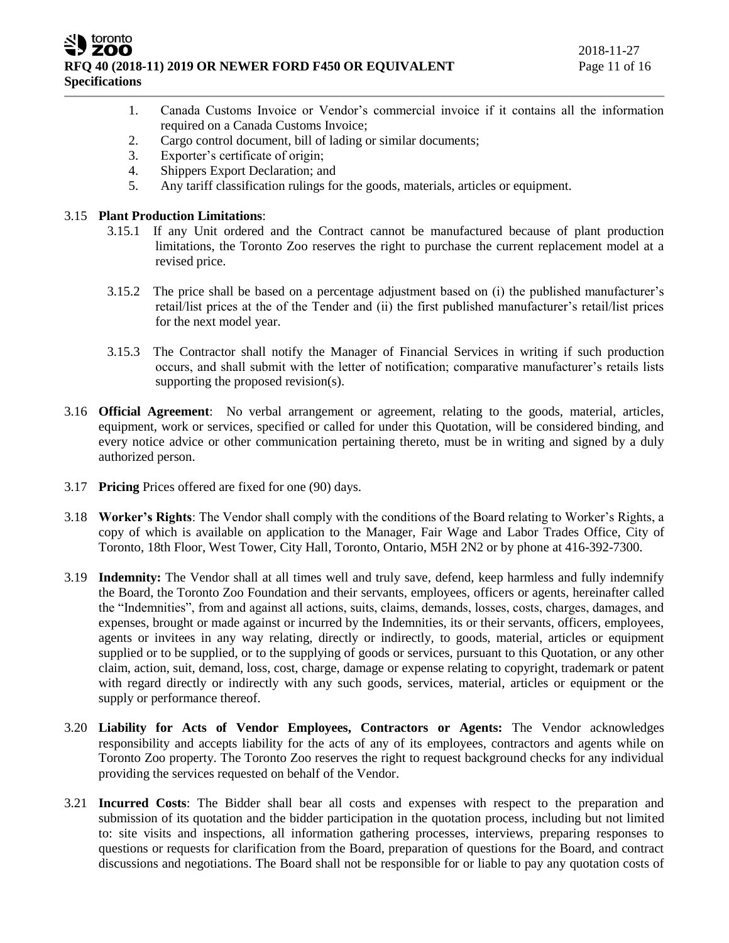ZOO **RFQ 40 (2018-11) 2019 OR NEWER FORD F450 OR EQUIVALENT** Page 11 of 16 **Specifications**

- 1. Canada Customs Invoice or Vendor's commercial invoice if it contains all the information required on a Canada Customs Invoice;
- 2. Cargo control document, bill of lading or similar documents;
- 3. Exporter's certificate of origin;
- 4. Shippers Export Declaration; and
- 5. Any tariff classification rulings for the goods, materials, articles or equipment.

# 3.15 **Plant Production Limitations**:

toronto

- 3.15.1 If any Unit ordered and the Contract cannot be manufactured because of plant production limitations, the Toronto Zoo reserves the right to purchase the current replacement model at a revised price.
- 3.15.2 The price shall be based on a percentage adjustment based on (i) the published manufacturer's retail/list prices at the of the Tender and (ii) the first published manufacturer's retail/list prices for the next model year.
- 3.15.3 The Contractor shall notify the Manager of Financial Services in writing if such production occurs, and shall submit with the letter of notification; comparative manufacturer's retails lists supporting the proposed revision(s).
- 3.16 **Official Agreement**: No verbal arrangement or agreement, relating to the goods, material, articles, equipment, work or services, specified or called for under this Quotation, will be considered binding, and every notice advice or other communication pertaining thereto, must be in writing and signed by a duly authorized person.
- 3.17 **Pricing** Prices offered are fixed for one (90) days.
- 3.18 **Worker's Rights**: The Vendor shall comply with the conditions of the Board relating to Worker's Rights, a copy of which is available on application to the Manager, Fair Wage and Labor Trades Office, City of Toronto, 18th Floor, West Tower, City Hall, Toronto, Ontario, M5H 2N2 or by phone at 416-392-7300.
- 3.19 **Indemnity:** The Vendor shall at all times well and truly save, defend, keep harmless and fully indemnify the Board, the Toronto Zoo Foundation and their servants, employees, officers or agents, hereinafter called the "Indemnities", from and against all actions, suits, claims, demands, losses, costs, charges, damages, and expenses, brought or made against or incurred by the Indemnities, its or their servants, officers, employees, agents or invitees in any way relating, directly or indirectly, to goods, material, articles or equipment supplied or to be supplied, or to the supplying of goods or services, pursuant to this Quotation, or any other claim, action, suit, demand, loss, cost, charge, damage or expense relating to copyright, trademark or patent with regard directly or indirectly with any such goods, services, material, articles or equipment or the supply or performance thereof.
- 3.20 **Liability for Acts of Vendor Employees, Contractors or Agents:** The Vendor acknowledges responsibility and accepts liability for the acts of any of its employees, contractors and agents while on Toronto Zoo property. The Toronto Zoo reserves the right to request background checks for any individual providing the services requested on behalf of the Vendor.
- 3.21 **Incurred Costs**: The Bidder shall bear all costs and expenses with respect to the preparation and submission of its quotation and the bidder participation in the quotation process, including but not limited to: site visits and inspections, all information gathering processes, interviews, preparing responses to questions or requests for clarification from the Board, preparation of questions for the Board, and contract discussions and negotiations. The Board shall not be responsible for or liable to pay any quotation costs of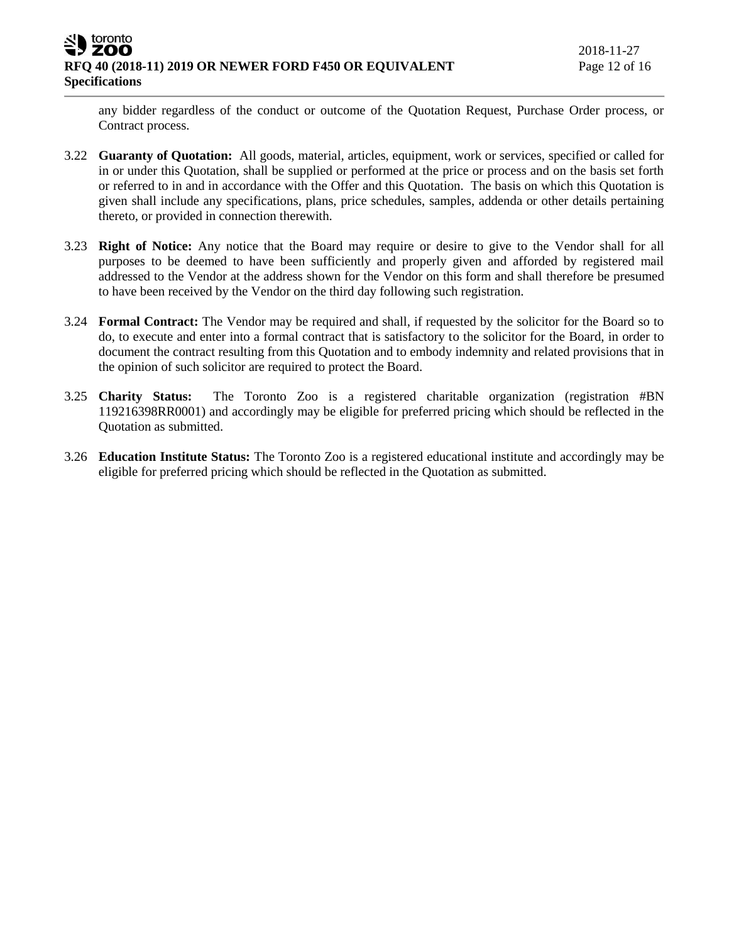any bidder regardless of the conduct or outcome of the Quotation Request, Purchase Order process, or Contract process.

- 3.22 **Guaranty of Quotation:** All goods, material, articles, equipment, work or services, specified or called for in or under this Quotation, shall be supplied or performed at the price or process and on the basis set forth or referred to in and in accordance with the Offer and this Quotation. The basis on which this Quotation is given shall include any specifications, plans, price schedules, samples, addenda or other details pertaining thereto, or provided in connection therewith.
- 3.23 **Right of Notice:** Any notice that the Board may require or desire to give to the Vendor shall for all purposes to be deemed to have been sufficiently and properly given and afforded by registered mail addressed to the Vendor at the address shown for the Vendor on this form and shall therefore be presumed to have been received by the Vendor on the third day following such registration.
- 3.24 **Formal Contract:** The Vendor may be required and shall, if requested by the solicitor for the Board so to do, to execute and enter into a formal contract that is satisfactory to the solicitor for the Board, in order to document the contract resulting from this Quotation and to embody indemnity and related provisions that in the opinion of such solicitor are required to protect the Board.
- 3.25 **Charity Status:** The Toronto Zoo is a registered charitable organization (registration #BN 119216398RR0001) and accordingly may be eligible for preferred pricing which should be reflected in the Quotation as submitted.
- 3.26 **Education Institute Status:** The Toronto Zoo is a registered educational institute and accordingly may be eligible for preferred pricing which should be reflected in the Quotation as submitted.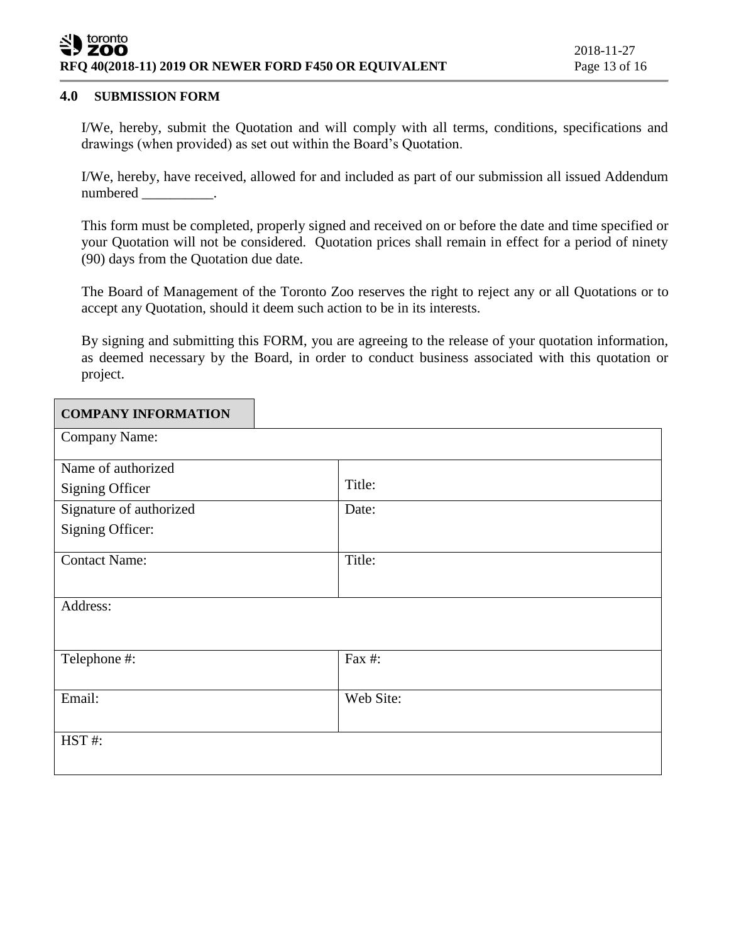#### toronto **ZOO RFQ 40(2018-11) 2019 OR NEWER FORD F450 OR EQUIVALENT** Page 13 of 16

### **4.0 SUBMISSION FORM**

I/We, hereby, submit the Quotation and will comply with all terms, conditions, specifications and drawings (when provided) as set out within the Board's Quotation.

I/We, hereby, have received, allowed for and included as part of our submission all issued Addendum numbered .

This form must be completed, properly signed and received on or before the date and time specified or your Quotation will not be considered. Quotation prices shall remain in effect for a period of ninety (90) days from the Quotation due date.

The Board of Management of the Toronto Zoo reserves the right to reject any or all Quotations or to accept any Quotation, should it deem such action to be in its interests.

By signing and submitting this FORM, you are agreeing to the release of your quotation information, as deemed necessary by the Board, in order to conduct business associated with this quotation or project.

| <b>COMPANY INFORMATION</b> |           |
|----------------------------|-----------|
| Company Name:              |           |
| Name of authorized         |           |
| <b>Signing Officer</b>     | Title:    |
| Signature of authorized    | Date:     |
| Signing Officer:           |           |
| <b>Contact Name:</b>       | Title:    |
| Address:                   |           |
|                            |           |
| Telephone #:               | Fax #:    |
| Email:                     | Web Site: |
|                            |           |
| HST#:                      |           |
|                            |           |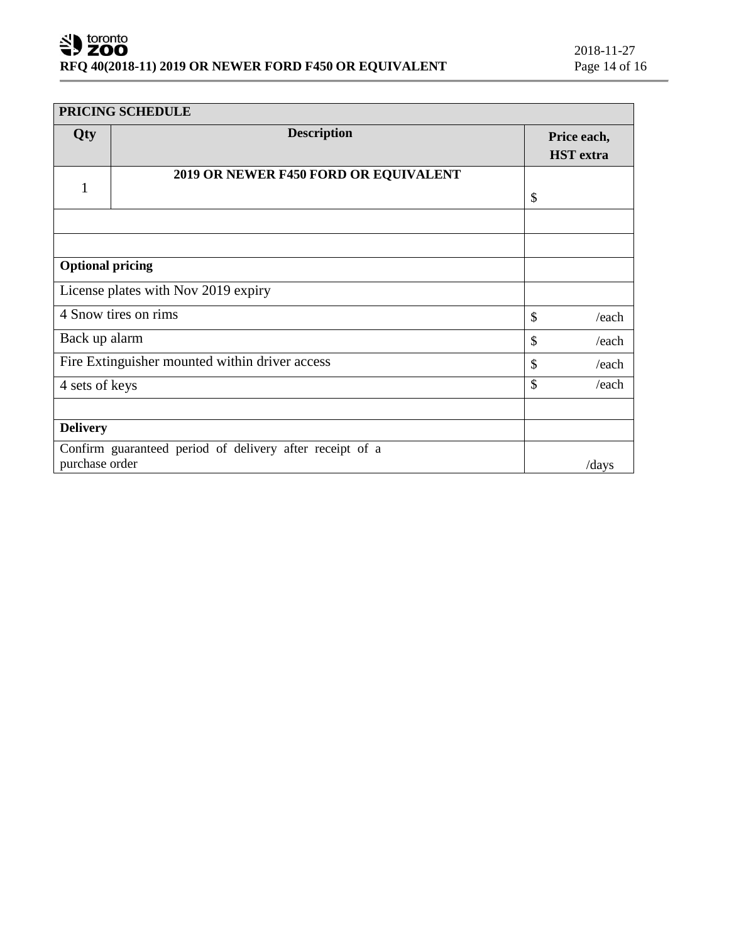| PRICING SCHEDULE                                                |                                                          |               |                                 |
|-----------------------------------------------------------------|----------------------------------------------------------|---------------|---------------------------------|
| Qty                                                             | <b>Description</b>                                       |               | Price each,<br><b>HST</b> extra |
|                                                                 | 2019 OR NEWER F450 FORD OR EQUIVALENT                    |               |                                 |
| 1                                                               |                                                          | $\mathcal{S}$ |                                 |
|                                                                 |                                                          |               |                                 |
|                                                                 |                                                          |               |                                 |
| <b>Optional pricing</b>                                         |                                                          |               |                                 |
|                                                                 | License plates with Nov 2019 expiry                      |               |                                 |
| 4 Snow tires on rims<br>$\mathcal{S}$                           |                                                          |               | /each                           |
| Back up alarm<br>\$                                             |                                                          |               | /each                           |
| Fire Extinguisher mounted within driver access<br>$\mathcal{S}$ |                                                          |               | /each                           |
| \$<br>4 sets of keys                                            |                                                          | /each         |                                 |
|                                                                 |                                                          |               |                                 |
| <b>Delivery</b>                                                 |                                                          |               |                                 |
| purchase order                                                  | Confirm guaranteed period of delivery after receipt of a |               | /days                           |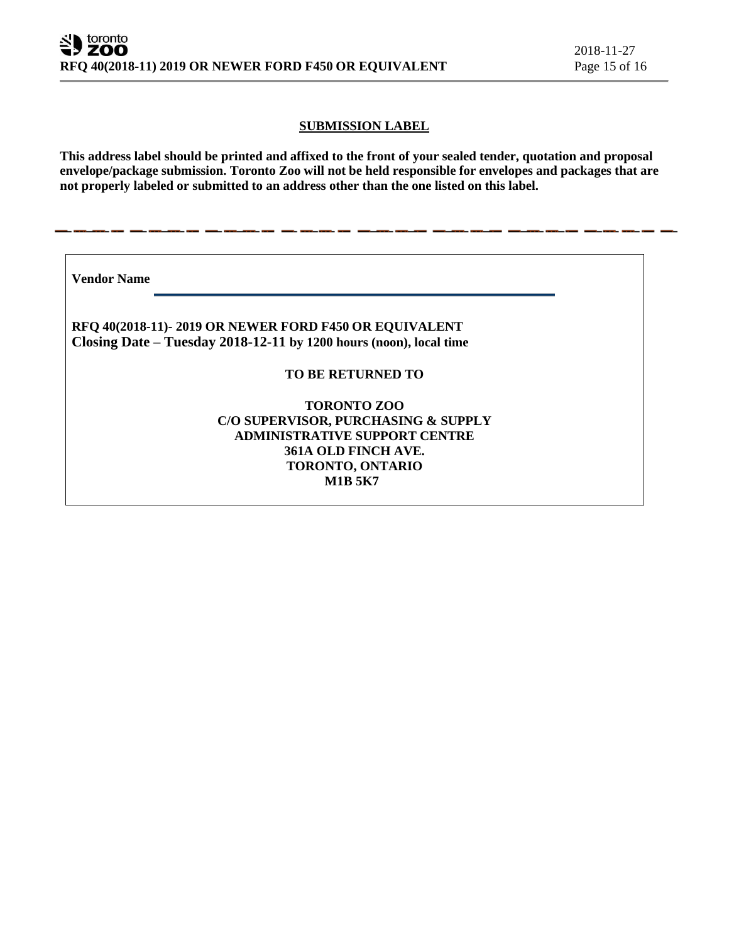### **SUBMISSION LABEL**

**This address label should be printed and affixed to the front of your sealed tender, quotation and proposal envelope/package submission. Toronto Zoo will not be held responsible for envelopes and packages that are not properly labeled or submitted to an address other than the one listed on this label.**

**Vendor Name** 

**RFQ 40(2018-11)- 2019 OR NEWER FORD F450 OR EQUIVALENT Closing Date – Tuesday 2018-12-11 by 1200 hours (noon), local time**

**TO BE RETURNED TO**

**TORONTO ZOO C/O SUPERVISOR, PURCHASING & SUPPLY ADMINISTRATIVE SUPPORT CENTRE 361A OLD FINCH AVE. TORONTO, ONTARIO M1B 5K7**